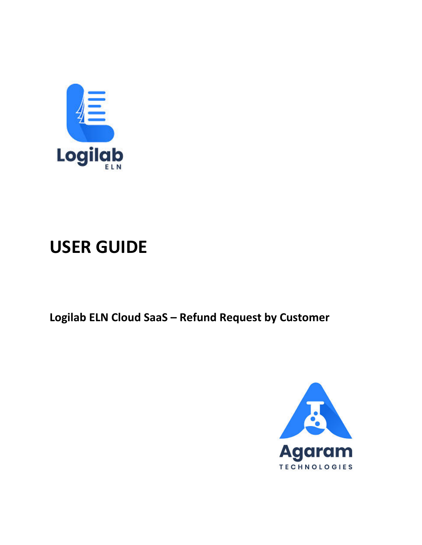

# **USER GUIDE**

Logilab ELN Cloud SaaS - Refund Request by Customer

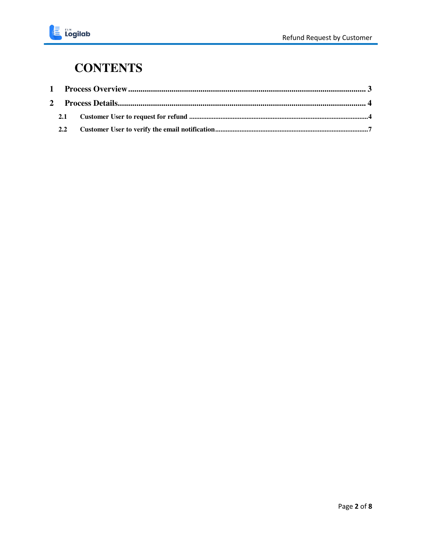

### **CONTENTS**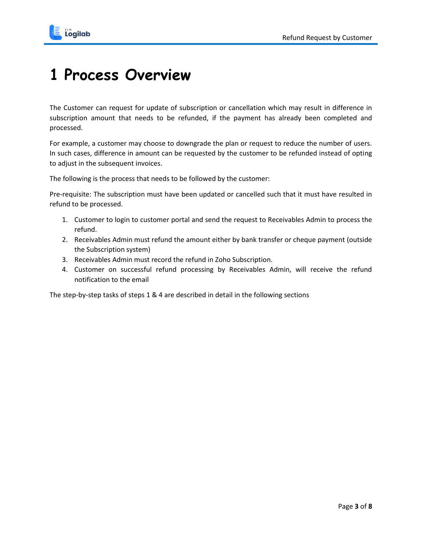

## <span id="page-2-0"></span>**1 Process Overview**

The Customer can request for update of subscription or cancellation which may result in difference in subscription amount that needs to be refunded, if the payment has already been completed and processed.

For example, a customer may choose to downgrade the plan or request to reduce the number of users. In such cases, difference in amount can be requested by the customer to be refunded instead of opting to adjust in the subsequent invoices.

The following is the process that needs to be followed by the customer:

Pre-requisite: The subscription must have been updated or cancelled such that it must have resulted in refund to be processed.

- 1. Customer to login to customer portal and send the request to Receivables Admin to process the refund.
- 2. Receivables Admin must refund the amount either by bank transfer or cheque payment (outside the Subscription system)
- 3. Receivables Admin must record the refund in Zoho Subscription.
- 4. Customer on successful refund processing by Receivables Admin, will receive the refund notification to the email

The step-by-step tasks of steps 1 & 4 are described in detail in the following sections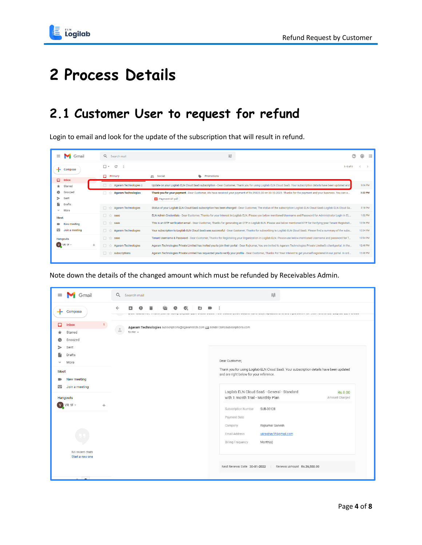

## <span id="page-3-0"></span>**2 Process Details**

### <span id="page-3-1"></span>**2.1 Customer User to request for refund**

Login to email and look for the update of the subscription that will result in refund.

| ≡<br>Gmail                          | Q Search mail                   | 珪<br>(?)                                                                                                                                                                      | ඹ<br>$\cdots$ |
|-------------------------------------|---------------------------------|-------------------------------------------------------------------------------------------------------------------------------------------------------------------------------|---------------|
| Compose                             | $\Box$<br>C                     | $1-9$ of 9                                                                                                                                                                    |               |
| α.<br>Inbox                         | о<br>Primary                    | ⊕<br>Promotions<br>as Social                                                                                                                                                  |               |
| Starred<br>*                        | Agaram Technologies 2           | Update on your Logilab ELN Cloud SaaS subscription - Dear Customer, Thank you for using Logilab ELN Cloud SaaS. Your subscription details have been updated and.              | 5:06 PM       |
| Q<br>Snoozed<br>⇒<br>Sent           | <b>Agaram Technologies</b><br>п | Thank you for your payment - Dear Customer, We have received your payment of Rs.39825.00 on 30-12-2021. Thanks for the payment and your business. You can e<br>Payment-37.pdf | 3:22 PM       |
| R<br>Drafts<br>More<br>$\checkmark$ | <b>Agaram Technologies</b>      | Status of your Logilab ELN Cloud SaaS subscription has been changed - Dear Customer, The status of the subscription Logilab ELN Cloud SaaS-Logilab ELN Cloud Sa               | 2:18 PM       |
| Meet                                | n.<br>saas                      | ELN Admin Credentials - Dear Customer, Thanks for your interest in Logilab ELN. Please use below mentioned Username and Password for Administrator Login in EL                | 1:02 PM       |
| New meeting                         | п<br>saas<br>立                  | This is an OTP verification email - Dear Customer, Thanks for generating an OTP in Logilab ELN. Please use below mentioned OTP for Verifying your Tenant Registrati           | 12:56 PM      |
| ▦<br>Join a meeting                 | <b>Agaram Technologies</b>      | Your subscription to Logilab ELN Cloud SaaS was successful - Dear Customer, Thanks for subscribing to Logilab ELN Cloud SaaS. Please find a summary of the subs               | 12:54 PM      |
| Hangouts                            | $\Box$<br>saas                  | Tenant Username & Password - Dear Customer, Thanks for Registering your Organization in Logilab ELN. Please use below mentioned Username and password for T                   | 12:54 PM      |
| $V$ VR 1F $\sim$<br>÷.              | <b>Agaram Technologies</b>      | Agaram Technologies Private Limited has invited you to join their portal - Dear Rajkumar, You are invited to Agaram Technologies Private Limited's client portal. In the      | 12:48 PM      |
|                                     | subscriptions                   | Agaram Technologies Private Limited has requested you to verify your profile - Dear Customer, Thanks For Your Interest to get yourself registered in our portal. In ord       | 12:48 PM      |

Note down the details of the changed amount which must be refunded by Receivables Admin.

| $\equiv$<br>Gmail                                                            | 굝<br>$\alpha$<br>Search mail                                                                                                                         |
|------------------------------------------------------------------------------|------------------------------------------------------------------------------------------------------------------------------------------------------|
| Compose                                                                      | Ø<br>C٦<br>o<br>www.wavenien.com/international/www.waveniews.com/www.com/www.www.www.www.www.www.www.www.www.com/international/www.www.ww            |
| 1 <sup>1</sup><br>Inbox<br>⊡<br>Starred<br>Snoozed<br>Sent                   | Agaram Technologies subscriptions@agaramtech.com via sender.zohosubscriptions.com<br>$\hat{a}$<br>to me $\sqrt{ }$                                   |
| Drafts<br>More<br>$\checkmark$<br>Meet<br>New meeting<br>Join a meeting<br>罒 | Dear Customer,<br>Thank you for using Logilab ELN Cloud SaaS. Your subscription details have been updated<br>and are right below for your reference. |
| Hangouts<br>$V$ VR 1F $=$<br>$^{+}$                                          | Logilab ELN Cloud SaaS - General - Standard<br>Rs.0.00<br>with 1 month Trial - Monthly Plan<br>Amount Charged<br>Subscription Number<br>SUB-00128    |
| No recent chats                                                              | Payment Date<br>Rajkumar Ganesh<br>Company<br>Email Address<br>vijiraghav1f@gmail.com<br><b>Billing Frequency</b><br>Month(s)                        |
| Start a new one                                                              | Next Renewal Date 30-01-2022<br>Renewal Amount Rs.26,550.00                                                                                          |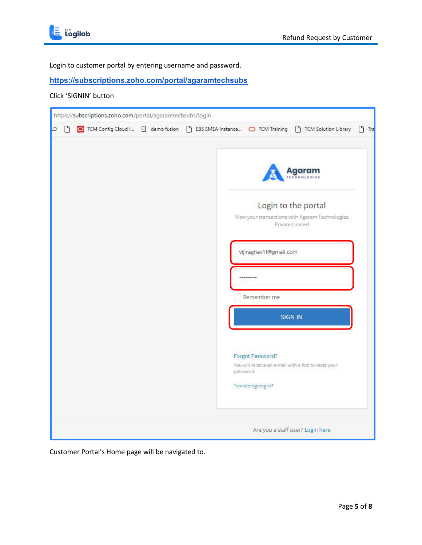

Login to customer portal by entering username and password.

#### **<https://subscriptions.zoho.com/portal/agaramtechsubs>**

#### Click 'SIGNIN' button

|    |   | https://subscriptions.zoho.com/portal/agaramtechsubs/login |  |  |  |                                                      |                                                                                                                 |            |
|----|---|------------------------------------------------------------|--|--|--|------------------------------------------------------|-----------------------------------------------------------------------------------------------------------------|------------|
| LD | P |                                                            |  |  |  |                                                      |                                                                                                                 | $\int$ Tra |
|    |   |                                                            |  |  |  | vijiraghav1f@gmail.com<br>                           | Agaram<br>NOLOGIES<br>Login to the portal<br>View your transactions with Agaram Technologies<br>Private Limited |            |
|    |   |                                                            |  |  |  | Remember me                                          | <b>SIGN IN</b>                                                                                                  |            |
|    |   |                                                            |  |  |  | Forgot Password?<br>password.<br>Trouble signing in? | You will receive an e-mail with a link to reset your                                                            |            |
|    |   |                                                            |  |  |  |                                                      | Are you a staff user? Login here                                                                                |            |

Customer Portal's Home page will be navigated to.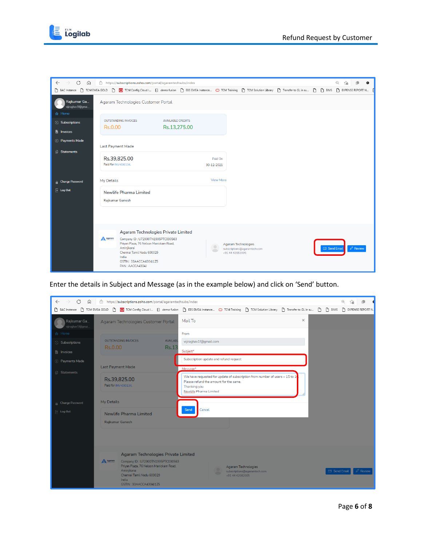

| C<br>$\leftarrow$<br>⋒           | https://subscriptions.zoho.com/portal/agaramtechsubs/index                                                                                                      |                                                                            |            | $\Theta$<br>$\bullet$<br>٢ð |
|----------------------------------|-----------------------------------------------------------------------------------------------------------------------------------------------------------------|----------------------------------------------------------------------------|------------|-----------------------------|
|                                  | ↑ BAC Instance ↑ TCM EMEA GOLD ↑ ● TCM Config Cloud I □ demo fusion ↑ EBS EMEA Instance ● TCM Taining ↑ TCM Solution Library ↑ Transfer to GL in su ↑ ↑ 『↑ BIMS |                                                                            |            | P EXPENSE REPORT N          |
| Rajkumar Ga<br>vijiraghav1f@gmai | Agaram Technologies Customer Portal                                                                                                                             |                                                                            |            |                             |
| A Home                           |                                                                                                                                                                 |                                                                            |            |                             |
| <b>8</b> Subscriptions           | <b>OUTSTANDING INVOICES</b><br><b>AVAILABLE CREDITS</b><br>Rs.13,275.00<br>Rs.0.00                                                                              |                                                                            |            |                             |
| <b>F</b> Invoices                |                                                                                                                                                                 |                                                                            |            |                             |
| <b>S</b> Payments Made           |                                                                                                                                                                 |                                                                            |            |                             |
| <b>B</b> Statements              | <b>Last Payment Made</b>                                                                                                                                        |                                                                            |            |                             |
|                                  | Rs.39,825.00<br>Paid for INV-000134,                                                                                                                            | Paid On<br>30-12-2021                                                      |            |                             |
| <b>A</b> Change Password         | My Details                                                                                                                                                      | <b>View More</b>                                                           |            |                             |
| $\overline{\phantom{a}}$ Log Out | <b>Newlife Pharma Limited</b>                                                                                                                                   |                                                                            |            |                             |
|                                  | <b>Rajkumar Ganesh</b>                                                                                                                                          |                                                                            |            |                             |
|                                  |                                                                                                                                                                 |                                                                            |            |                             |
|                                  |                                                                                                                                                                 |                                                                            |            |                             |
|                                  |                                                                                                                                                                 |                                                                            |            |                             |
|                                  | <b>Agaram Technologies Private Limited</b>                                                                                                                      |                                                                            |            |                             |
|                                  | A Agaram<br>Company ID: U72900TN1995PTC030563<br>Priyan Plaza, 76 Nelson Manickam Road,                                                                         | Agaram Technologies                                                        |            |                             |
|                                  | Aminjikarai<br>Chennai Tamil Nadu 600029                                                                                                                        | $\bullet$<br>subscriptions@agaramtech.com<br>$\sqrt{2}$<br>+91 44 42082005 | Send Email | $\oslash$ Review            |
|                                  | India<br>GSTIN: 33AACCA4304J1Z5<br>PAN: AACCA4304J                                                                                                              |                                                                            |            |                             |

Enter the details in Subject and Message (as in the example below) and click on 'Send' button.

| C<br>⋒<br>$\leftarrow$           | https://subscriptions.zoho.com/portal/agaramtechsubs/index                                                                                                                                                           |                                                                                                                                                                      |                                      |
|----------------------------------|----------------------------------------------------------------------------------------------------------------------------------------------------------------------------------------------------------------------|----------------------------------------------------------------------------------------------------------------------------------------------------------------------|--------------------------------------|
|                                  |                                                                                                                                                                                                                      | □ BAC Instance □ TCM EMEA GOLD □ ○ TCM Config Cloud I □ demo fusion □ EBS EMEA Instance ○ TCM Training □ TCM Solution Library □ Transfer to GL in su □ □ BIMS        | P EXPENSE REPORT N.                  |
| Rajkumar Ga<br>vijiraghav1f@gmai | Agaram Technologies Customer Portal                                                                                                                                                                                  | $\times$<br>Mail To                                                                                                                                                  |                                      |
| A Home                           |                                                                                                                                                                                                                      | From                                                                                                                                                                 |                                      |
| Subscriptions                    | <b>AVAILABL</b><br><b>OUTSTANDING INVOICES</b>                                                                                                                                                                       | vijiraghav1f@gmail.com                                                                                                                                               |                                      |
| invoices                         | Rs.0.00<br><b>Rs.13</b>                                                                                                                                                                                              | Subject*                                                                                                                                                             |                                      |
| (s) Payments Made                |                                                                                                                                                                                                                      | Subscription update and refund request                                                                                                                               |                                      |
|                                  | Last Payment Made                                                                                                                                                                                                    | Message*                                                                                                                                                             |                                      |
| <b>Statements</b>                | Rs.39,825.00<br>Paid for INV-000134.                                                                                                                                                                                 | We have requested for update of subscription from number of users $= 15$ to $10$<br>Please refund the amount for the same.<br>Thanking you<br>Newlife Pharma Limited |                                      |
| <b>Change Password</b>           | My Details                                                                                                                                                                                                           |                                                                                                                                                                      |                                      |
| $\boxed{\qquad}$ Log Out         | Newlife Pharma Limited                                                                                                                                                                                               | Cancel<br>Send                                                                                                                                                       |                                      |
|                                  | <b>Rajkumar Ganesh</b>                                                                                                                                                                                               |                                                                                                                                                                      |                                      |
|                                  |                                                                                                                                                                                                                      |                                                                                                                                                                      |                                      |
|                                  | <b>Agaram Technologies Private Limited</b><br>A Agaram<br>Company ID: U72900TN1995PTC030563<br>Priyan Plaza, 76 Nelson Manickam Road,<br>Aminjikarai<br>Chennai Tamil Nadu 600029<br>India<br>GSTIN: 33AACCA4304J1Z5 | Agaram Technologies<br>٠<br>subscriptions@agaramtech.com<br>+91 44 42082005                                                                                          | □ Send Email<br>$\varnothing$ Review |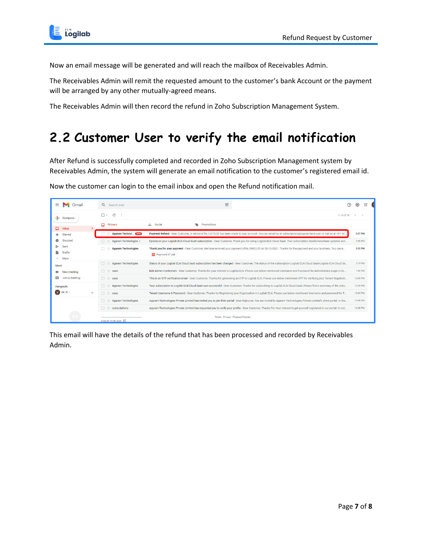

Now an email message will be generated and will reach the mailbox of Receivables Admin.

The Receivables Admin will remit the requested amount to the customer's bank Account or the payment will be arranged by any other mutually-agreed means.

The Receivables Admin will then record the refund in Zoho Subscription Management System.

#### <span id="page-6-0"></span>**2.2 Customer User to verify the email notification**

After Refund is successfully completed and recorded in Zoho Subscription Management system by Receivables Admin, the system will generate an email notification to the customer's registered email id.

Now the customer can login to the email inbox and open the Refund notification mail.

| $\equiv$<br>Gmail                      | Q Search mail                    | 喆<br>⑦                                                                                                                                                                        | ₩<br>දම  |  |
|----------------------------------------|----------------------------------|-------------------------------------------------------------------------------------------------------------------------------------------------------------------------------|----------|--|
| Compose                                | C<br>⊓ +                         | $1 - 10$ of 10                                                                                                                                                                |          |  |
| $\overline{2}$<br>۵<br>Inbox           | о<br>Primary                     | $\bullet$<br><b>et</b> Social<br>Promotions                                                                                                                                   |          |  |
| Starred<br>×.                          | <b>Agaram Technol (New)</b>      | Payment Refund - Dear Customer, A refund of Rs.13275.00 has been made to your account. You can email us at subscriptions@agaramtech.com or call us at +91 44.                 | 5:27 PM  |  |
| Snoozed                                | Agaram Technologies 2            | Update on your Logilab ELN Cloud SaaS subscription - Dear Customer. Thank you for using Logilab ELN Cloud SaaS, Your subscription details have been updated and               | 5:06 PM  |  |
| Sent<br>Drafts<br>More<br>$\checkmark$ | <b>Agaram Technologies</b>       | Thank you for your payment - Dear Customer, We have received your payment of Rs.39825.00 on 30-12-2021. Thanks for the payment and your business. You can e<br>Payment-37.pdf | 3:22 PM  |  |
| Meet                                   | <b>Agaram Technologies</b><br>同立 | Status of your Logilab ELN Cloud SaaS subscription has been changed - Dear Customer, The status of the subscription Logilab ELN Cloud SaaS-Logilab ELN Cloud Sa               | 2:18 PM  |  |
| New meeting                            | 口立<br>saas                       | ELN Admin Credentials - Dear Customer, Thanks for your interest in Logilab ELN. Please use below mentioned Username and Password for Administrator Login in EL                | 1:02 PM  |  |
| 靊<br>Join a meeting                    | 日立<br>saas                       | This is an OTP verification email - Dear Customer, Thanks for generating an OTP in Logilab ELN. Please use below mentioned OTP for Verifying your Tenant Registrati           | 12:56 PM |  |
| Hangouts                               | <b>Agaram Technologies</b>       | Your subscription to Logilab ELN Cloud SaaS was successful - Dear Customer, Thanks for subscribing to Logilab ELN Cloud SaaS. Please find a summary of the subs               | 12:54 PM |  |
| $V$ VR 1F $-$<br>$^{+}$                | 同 ☆<br>saas                      | Tenant Username & Password - Dear Customer, Thanks for Registering your Organization in Logilab ELN. Please use below mentioned Username and password for T                   | 12:54 PM |  |
|                                        | <b>Agaram Technologies</b>       | Agaram Technologies Private Limited has invited you to join their portal - Dear Rajkumar, You are invited to Agaram Technologies Private Limited's client portal. In the      | 12:48 PM |  |
|                                        | subscriptions                    | Agaram Technologies Private Limited has requested you to verify your profile - Dear Customer, Thanks For Your Interest to get yourself registered in our portal. In ord       | 12:48 PM |  |
|                                        | 0 GB of 15 GB used [Z]           | Terms · Privacy · Program Policies                                                                                                                                            |          |  |

This email will have the details of the refund that has been processed and recorded by Receivables Admin.